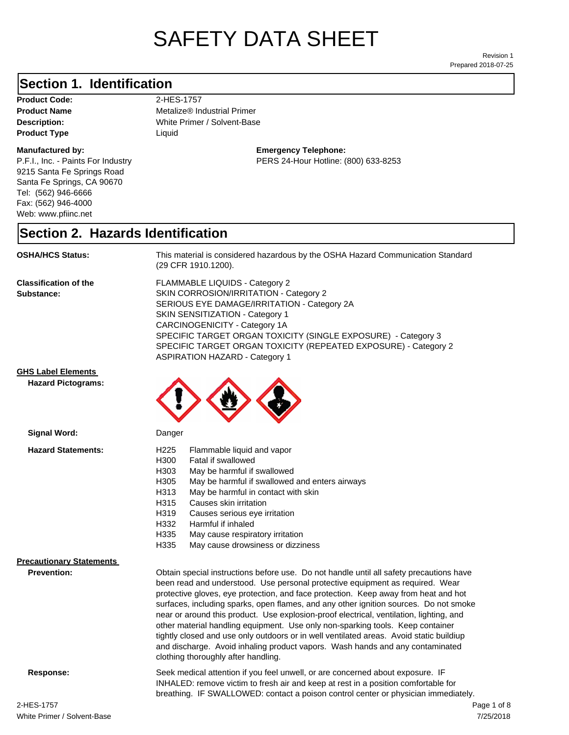# SAFETY DATA SHEET

Prepared 2018-07-25 Revision 1

#### **Section 1. Identification**

Product Code: 2-HES-1757 **Product Type Liquid Liquid** 

#### **Manufactured by:**

P.F.I., Inc. - Paints For Industry 9215 Santa Fe Springs Road Santa Fe Springs, CA 90670 Tel: (562) 946-6666 Fax: (562) 946-4000 Web: www.pfiinc.net

**Product Name** Metalize® Industrial Primer

**Description:** White Primer / Solvent-Base

**Emergency Telephone:** PERS 24-Hour Hotline: (800) 633-8253

#### **Section 2. Hazards Identification**

**OSHA/HCS Status:** This material is considered hazardous by the OSHA Hazard Communication Standard (29 CFR 1910.1200).

**Classification of the Substance:**

FLAMMABLE LIQUIDS - Category 2 SKIN CORROSION/IRRITATION - Category 2 SERIOUS EYE DAMAGE/IRRITATION - Category 2A SKIN SENSITIZATION - Category 1 CARCINOGENICITY - Category 1A SPECIFIC TARGET ORGAN TOXICITY (SINGLE EXPOSURE) - Category 3 SPECIFIC TARGET ORGAN TOXICITY (REPEATED EXPOSURE) - Category 2 ASPIRATION HAZARD - Category 1

#### **GHS Label Elements**

**Signal Word:**

**Hazard Pictograms:**



clothing thoroughly after handling.

| Hazaru Statellients.            | ل الکے ا         | i iaililiable ligulu ariu vapol                                                         |  |
|---------------------------------|------------------|-----------------------------------------------------------------------------------------|--|
|                                 | H300             | Fatal if swallowed                                                                      |  |
|                                 | H303             | May be harmful if swallowed                                                             |  |
|                                 | H <sub>305</sub> | May be harmful if swallowed and enters airways                                          |  |
|                                 | H313             | May be harmful in contact with skin                                                     |  |
|                                 | H315             | Causes skin irritation                                                                  |  |
|                                 | H319             | Causes serious eye irritation                                                           |  |
|                                 | H332             | Harmful if inhaled                                                                      |  |
|                                 | H335             | May cause respiratory irritation                                                        |  |
|                                 | H335             | May cause drowsiness or dizziness                                                       |  |
| <b>Precautionary Statements</b> |                  |                                                                                         |  |
| <b>Prevention:</b>              |                  | Obtain special instructions before use. Do not handle until all safety precautions have |  |
|                                 |                  | been read and understood. Use personal protective equipment as required. Wear           |  |
|                                 |                  | protective gloves, eye protection, and face protection. Keep away from heat and hot     |  |
|                                 |                  | surfaces, including sparks, open flames, and any other ignition sources. Do not smoke   |  |
|                                 |                  | near or around this product. Use explosion-proof electrical, ventilation, lighting, and |  |

**Response:** Seek medical attention if you feel unwell, or are concerned about exposure. IF INHALED: remove victim to fresh air and keep at rest in a position comfortable for breathing. IF SWALLOWED: contact a poison control center or physician immediately.

other material handling equipment. Use only non-sparking tools. Keep container tightly closed and use only outdoors or in well ventilated areas. Avoid static buildiup and discharge. Avoid inhaling product vapors. Wash hands and any contaminated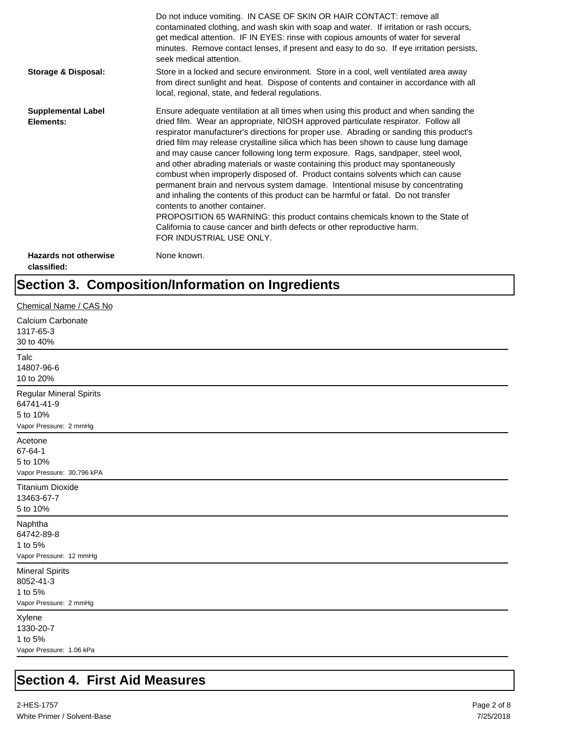|                                             | Do not induce vomiting. IN CASE OF SKIN OR HAIR CONTACT: remove all<br>contaminated clothing, and wash skin with soap and water. If irritation or rash occurs,<br>get medical attention. IF IN EYES: rinse with copious amounts of water for several<br>minutes. Remove contact lenses, if present and easy to do so. If eye irritation persists,<br>seek medical attention.                                                                                                                                                                                                                                                                                                                                                                                                                                                                                                                                                                                                                                             |
|---------------------------------------------|--------------------------------------------------------------------------------------------------------------------------------------------------------------------------------------------------------------------------------------------------------------------------------------------------------------------------------------------------------------------------------------------------------------------------------------------------------------------------------------------------------------------------------------------------------------------------------------------------------------------------------------------------------------------------------------------------------------------------------------------------------------------------------------------------------------------------------------------------------------------------------------------------------------------------------------------------------------------------------------------------------------------------|
| <b>Storage &amp; Disposal:</b>              | Store in a locked and secure environment. Store in a cool, well ventilated area away<br>from direct sunlight and heat. Dispose of contents and container in accordance with all<br>local, regional, state, and federal regulations.                                                                                                                                                                                                                                                                                                                                                                                                                                                                                                                                                                                                                                                                                                                                                                                      |
| <b>Supplemental Label</b><br>Elements:      | Ensure adequate ventilation at all times when using this product and when sanding the<br>dried film. Wear an appropriate, NIOSH approved particulate respirator. Follow all<br>respirator manufacturer's directions for proper use. Abrading or sanding this product's<br>dried film may release crystalline silica which has been shown to cause lung damage<br>and may cause cancer following long term exposure. Rags, sandpaper, steel wool,<br>and other abrading materials or waste containing this product may spontaneously<br>combust when improperly disposed of. Product contains solvents which can cause<br>permanent brain and nervous system damage. Intentional misuse by concentrating<br>and inhaling the contents of this product can be harmful or fatal. Do not transfer<br>contents to another container.<br>PROPOSITION 65 WARNING: this product contains chemicals known to the State of<br>California to cause cancer and birth defects or other reproductive harm.<br>FOR INDUSTRIAL USE ONLY. |
| <b>Hazards not otherwise</b><br>classified: | None known.                                                                                                                                                                                                                                                                                                                                                                                                                                                                                                                                                                                                                                                                                                                                                                                                                                                                                                                                                                                                              |

## **Section 3. Composition/Information on Ingredients**

| Chemical Name / CAS No                                                             |
|------------------------------------------------------------------------------------|
| Calcium Carbonate<br>1317-65-3<br>30 to 40%                                        |
| Talc<br>14807-96-6<br>10 to 20%                                                    |
| <b>Regular Mineral Spirits</b><br>64741-41-9<br>5 to 10%<br>Vapor Pressure: 2 mmHg |
| Acetone<br>67-64-1<br>5 to 10%<br>Vapor Pressure: 30.796 kPA                       |
| <b>Titanium Dioxide</b><br>13463-67-7<br>5 to 10%                                  |
| Naphtha<br>64742-89-8<br>1 to 5%<br>Vapor Pressure: 12 mmHg                        |
| <b>Mineral Spirits</b><br>8052-41-3<br>1 to 5%<br>Vapor Pressure: 2 mmHg           |
| Xylene<br>1330-20-7<br>1 to 5%<br>Vapor Pressure: 1.06 kPa                         |

## **Section 4. First Aid Measures**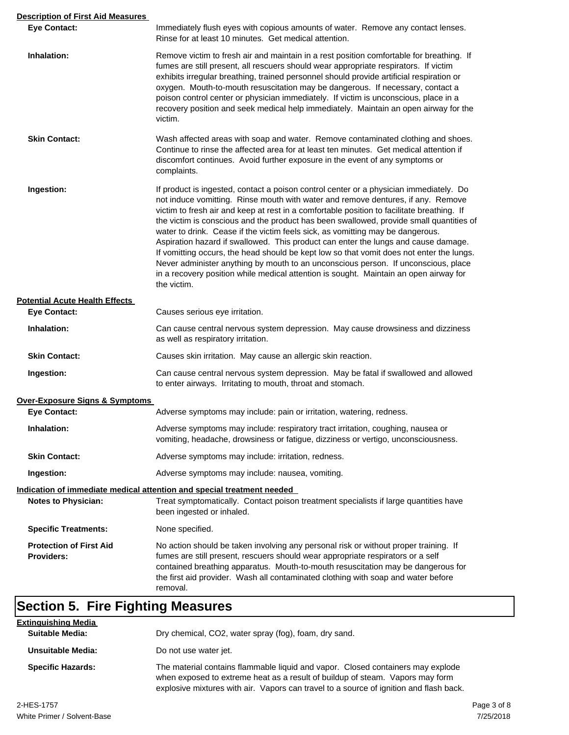| <b>Description of First Aid Measures</b>                               |                                                                                                                                                                                                                                                                                                                                                                                                                                                                                                                                                                                                                                                                                                                                                                                                                                       |  |  |
|------------------------------------------------------------------------|---------------------------------------------------------------------------------------------------------------------------------------------------------------------------------------------------------------------------------------------------------------------------------------------------------------------------------------------------------------------------------------------------------------------------------------------------------------------------------------------------------------------------------------------------------------------------------------------------------------------------------------------------------------------------------------------------------------------------------------------------------------------------------------------------------------------------------------|--|--|
| <b>Eye Contact:</b>                                                    | Immediately flush eyes with copious amounts of water. Remove any contact lenses.<br>Rinse for at least 10 minutes. Get medical attention.                                                                                                                                                                                                                                                                                                                                                                                                                                                                                                                                                                                                                                                                                             |  |  |
| Inhalation:                                                            | Remove victim to fresh air and maintain in a rest position comfortable for breathing. If<br>fumes are still present, all rescuers should wear appropriate respirators. If victim<br>exhibits irregular breathing, trained personnel should provide artificial respiration or<br>oxygen. Mouth-to-mouth resuscitation may be dangerous. If necessary, contact a<br>poison control center or physician immediately. If victim is unconscious, place in a<br>recovery position and seek medical help immediately. Maintain an open airway for the<br>victim.                                                                                                                                                                                                                                                                             |  |  |
| <b>Skin Contact:</b>                                                   | Wash affected areas with soap and water. Remove contaminated clothing and shoes.<br>Continue to rinse the affected area for at least ten minutes. Get medical attention if<br>discomfort continues. Avoid further exposure in the event of any symptoms or<br>complaints.                                                                                                                                                                                                                                                                                                                                                                                                                                                                                                                                                             |  |  |
| Ingestion:                                                             | If product is ingested, contact a poison control center or a physician immediately. Do<br>not induce vomitting. Rinse mouth with water and remove dentures, if any. Remove<br>victim to fresh air and keep at rest in a comfortable position to facilitate breathing. If<br>the victim is conscious and the product has been swallowed, provide small quantities of<br>water to drink. Cease if the victim feels sick, as vomitting may be dangerous.<br>Aspiration hazard if swallowed. This product can enter the lungs and cause damage.<br>If vomitting occurs, the head should be kept low so that vomit does not enter the lungs.<br>Never administer anything by mouth to an unconscious person. If unconscious, place<br>in a recovery position while medical attention is sought. Maintain an open airway for<br>the victim. |  |  |
| <b>Potential Acute Health Effects</b>                                  |                                                                                                                                                                                                                                                                                                                                                                                                                                                                                                                                                                                                                                                                                                                                                                                                                                       |  |  |
| <b>Eye Contact:</b>                                                    | Causes serious eye irritation.                                                                                                                                                                                                                                                                                                                                                                                                                                                                                                                                                                                                                                                                                                                                                                                                        |  |  |
| Inhalation:                                                            | Can cause central nervous system depression. May cause drowsiness and dizziness<br>as well as respiratory irritation.                                                                                                                                                                                                                                                                                                                                                                                                                                                                                                                                                                                                                                                                                                                 |  |  |
| <b>Skin Contact:</b>                                                   | Causes skin irritation. May cause an allergic skin reaction.                                                                                                                                                                                                                                                                                                                                                                                                                                                                                                                                                                                                                                                                                                                                                                          |  |  |
| Ingestion:                                                             | Can cause central nervous system depression. May be fatal if swallowed and allowed<br>to enter airways. Irritating to mouth, throat and stomach.                                                                                                                                                                                                                                                                                                                                                                                                                                                                                                                                                                                                                                                                                      |  |  |
| <b>Over-Exposure Signs &amp; Symptoms</b>                              |                                                                                                                                                                                                                                                                                                                                                                                                                                                                                                                                                                                                                                                                                                                                                                                                                                       |  |  |
| <b>Eye Contact:</b>                                                    | Adverse symptoms may include: pain or irritation, watering, redness.                                                                                                                                                                                                                                                                                                                                                                                                                                                                                                                                                                                                                                                                                                                                                                  |  |  |
| Inhalation:                                                            | Adverse symptoms may include: respiratory tract irritation, coughing, nausea or<br>vomiting, headache, drowsiness or fatigue, dizziness or vertigo, unconsciousness.                                                                                                                                                                                                                                                                                                                                                                                                                                                                                                                                                                                                                                                                  |  |  |
| <b>Skin Contact:</b>                                                   | Adverse symptoms may include: irritation, redness.                                                                                                                                                                                                                                                                                                                                                                                                                                                                                                                                                                                                                                                                                                                                                                                    |  |  |
| Ingestion:                                                             | Adverse symptoms may include: nausea, vomiting.                                                                                                                                                                                                                                                                                                                                                                                                                                                                                                                                                                                                                                                                                                                                                                                       |  |  |
| Indication of immediate medical attention and special treatment needed |                                                                                                                                                                                                                                                                                                                                                                                                                                                                                                                                                                                                                                                                                                                                                                                                                                       |  |  |
| <b>Notes to Physician:</b>                                             | Treat symptomatically. Contact poison treatment specialists if large quantities have<br>been ingested or inhaled.                                                                                                                                                                                                                                                                                                                                                                                                                                                                                                                                                                                                                                                                                                                     |  |  |
| <b>Specific Treatments:</b>                                            | None specified.                                                                                                                                                                                                                                                                                                                                                                                                                                                                                                                                                                                                                                                                                                                                                                                                                       |  |  |
| <b>Protection of First Aid</b>                                         | No action should be taken involving any personal risk or without proper training. If                                                                                                                                                                                                                                                                                                                                                                                                                                                                                                                                                                                                                                                                                                                                                  |  |  |
| <b>Providers:</b>                                                      | fumes are still present, rescuers should wear appropriate respirators or a self<br>contained breathing apparatus. Mouth-to-mouth resuscitation may be dangerous for<br>the first aid provider. Wash all contaminated clothing with soap and water before<br>removal.                                                                                                                                                                                                                                                                                                                                                                                                                                                                                                                                                                  |  |  |

# **Section 5. Fire Fighting Measures**

| <b>Extinguishing Media</b> |                                                                                                                                                                                                                                                            |  |  |
|----------------------------|------------------------------------------------------------------------------------------------------------------------------------------------------------------------------------------------------------------------------------------------------------|--|--|
| <b>Suitable Media:</b>     | Dry chemical, CO2, water spray (fog), foam, dry sand.                                                                                                                                                                                                      |  |  |
| Unsuitable Media:          | Do not use water jet.                                                                                                                                                                                                                                      |  |  |
| <b>Specific Hazards:</b>   | The material contains flammable liquid and vapor. Closed containers may explode<br>when exposed to extreme heat as a result of buildup of steam. Vapors may form<br>explosive mixtures with air. Vapors can travel to a source of ignition and flash back. |  |  |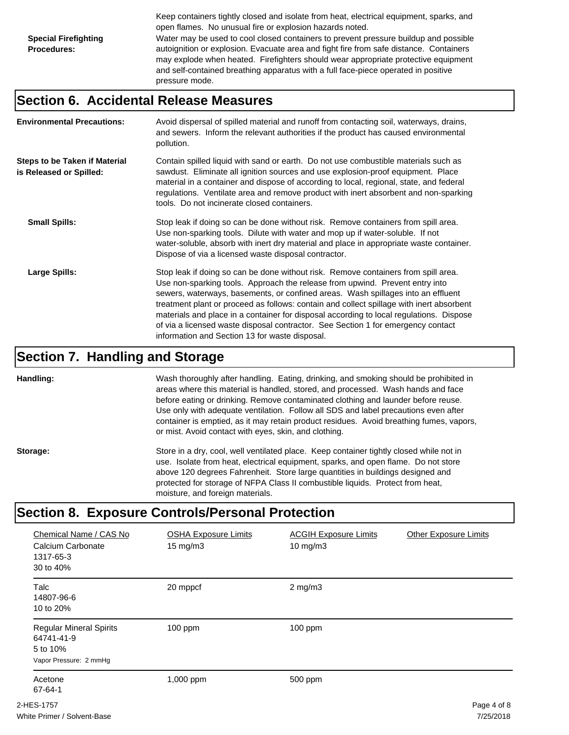Keep containers tightly closed and isolate from heat, electrical equipment, sparks, and open flames. No unusual fire or explosion hazards noted. **Special Firefighting Procedures:** Water may be used to cool closed containers to prevent pressure buildup and possible autoignition or explosion. Evacuate area and fight fire from safe distance. Containers may explode when heated. Firefighters should wear appropriate protective equipment and self-contained breathing apparatus with a full face-piece operated in positive pressure mode.

### **Section 6. Accidental Release Measures**

| <b>Environmental Precautions:</b>                               | Avoid dispersal of spilled material and runoff from contacting soil, waterways, drains,<br>and sewers. Inform the relevant authorities if the product has caused environmental<br>pollution.                                                                                                                                                                                                                                                                                                                                                                                        |
|-----------------------------------------------------------------|-------------------------------------------------------------------------------------------------------------------------------------------------------------------------------------------------------------------------------------------------------------------------------------------------------------------------------------------------------------------------------------------------------------------------------------------------------------------------------------------------------------------------------------------------------------------------------------|
| <b>Steps to be Taken if Material</b><br>is Released or Spilled: | Contain spilled liquid with sand or earth. Do not use combustible materials such as<br>sawdust. Eliminate all ignition sources and use explosion-proof equipment. Place<br>material in a container and dispose of according to local, regional, state, and federal<br>regulations. Ventilate area and remove product with inert absorbent and non-sparking<br>tools. Do not incinerate closed containers.                                                                                                                                                                           |
| <b>Small Spills:</b>                                            | Stop leak if doing so can be done without risk. Remove containers from spill area.<br>Use non-sparking tools. Dilute with water and mop up if water-soluble. If not<br>water-soluble, absorb with inert dry material and place in appropriate waste container.<br>Dispose of via a licensed waste disposal contractor.                                                                                                                                                                                                                                                              |
| Large Spills:                                                   | Stop leak if doing so can be done without risk. Remove containers from spill area.<br>Use non-sparking tools. Approach the release from upwind. Prevent entry into<br>sewers, waterways, basements, or confined areas. Wash spillages into an effluent<br>treatment plant or proceed as follows: contain and collect spillage with inert absorbent<br>materials and place in a container for disposal according to local regulations. Dispose<br>of via a licensed waste disposal contractor. See Section 1 for emergency contact<br>information and Section 13 for waste disposal. |

#### **Section 7. Handling and Storage**

**Handling:** Wash thoroughly after handling. Eating, drinking, and smoking should be prohibited in areas where this material is handled, stored, and processed. Wash hands and face before eating or drinking. Remove contaminated clothing and launder before reuse. Use only with adequate ventilation. Follow all SDS and label precautions even after container is emptied, as it may retain product residues. Avoid breathing fumes, vapors, or mist. Avoid contact with eyes, skin, and clothing.

**Storage:** Store in a dry, cool, well ventilated place. Keep container tightly closed while not in use. Isolate from heat, electrical equipment, sparks, and open flame. Do not store above 120 degrees Fahrenheit. Store large quantities in buildings designed and protected for storage of NFPA Class II combustible liquids. Protect from heat, moisture, and foreign materials.

#### **Section 8. Exposure Controls/Personal Protection**

| Chemical Name / CAS No<br>Calcium Carbonate<br>1317-65-3<br>30 to 40%              | <b>OSHA Exposure Limits</b><br>$15 \text{ mg/m}$ | <b>ACGIH Exposure Limits</b><br>$10 \text{ mg/m}$ | <b>Other Exposure Limits</b> |
|------------------------------------------------------------------------------------|--------------------------------------------------|---------------------------------------------------|------------------------------|
| <b>Talc</b><br>14807-96-6<br>10 to 20%                                             | 20 mppcf                                         | $2$ mg/m $3$                                      |                              |
| <b>Regular Mineral Spirits</b><br>64741-41-9<br>5 to 10%<br>Vapor Pressure: 2 mmHg | $100$ ppm                                        | $100$ ppm                                         |                              |
| Acetone<br>67-64-1                                                                 | 1,000 ppm                                        | 500 ppm                                           |                              |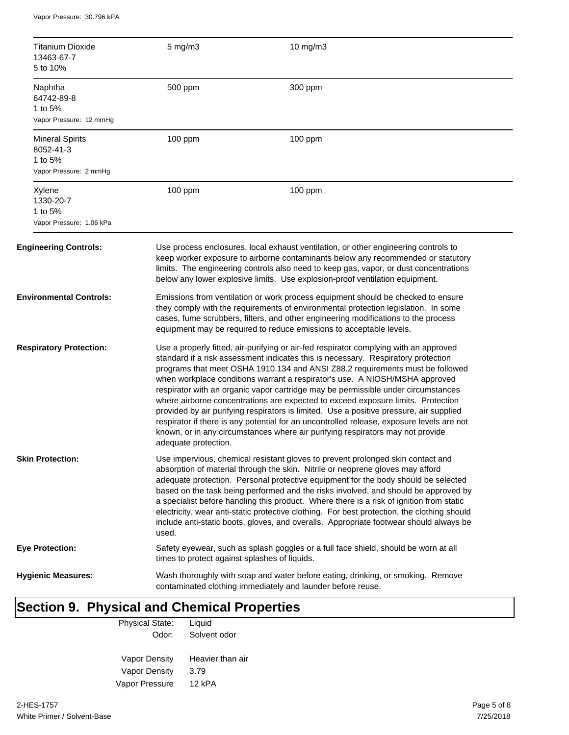Vapor Pressure: 30.796 kPA

|                                                                                                                                                                                                                                                                                                                                                                                                                                                                                                                                                                                                                                                                                                                                                                                                                                                         | <b>Titanium Dioxide</b><br>13463-67-7<br>5 to 10%                        | 5 mg/m3                                       | 10 mg/m3                                                                                                                                                                                                                                                                                                                                                                                                                                                                                                                                                                                                                            |
|---------------------------------------------------------------------------------------------------------------------------------------------------------------------------------------------------------------------------------------------------------------------------------------------------------------------------------------------------------------------------------------------------------------------------------------------------------------------------------------------------------------------------------------------------------------------------------------------------------------------------------------------------------------------------------------------------------------------------------------------------------------------------------------------------------------------------------------------------------|--------------------------------------------------------------------------|-----------------------------------------------|-------------------------------------------------------------------------------------------------------------------------------------------------------------------------------------------------------------------------------------------------------------------------------------------------------------------------------------------------------------------------------------------------------------------------------------------------------------------------------------------------------------------------------------------------------------------------------------------------------------------------------------|
|                                                                                                                                                                                                                                                                                                                                                                                                                                                                                                                                                                                                                                                                                                                                                                                                                                                         | Naphtha<br>64742-89-8<br>1 to 5%<br>Vapor Pressure: 12 mmHg              | 500 ppm                                       | 300 ppm                                                                                                                                                                                                                                                                                                                                                                                                                                                                                                                                                                                                                             |
|                                                                                                                                                                                                                                                                                                                                                                                                                                                                                                                                                                                                                                                                                                                                                                                                                                                         | <b>Mineral Spirits</b><br>8052-41-3<br>1 to 5%<br>Vapor Pressure: 2 mmHg | 100 ppm                                       | 100 ppm                                                                                                                                                                                                                                                                                                                                                                                                                                                                                                                                                                                                                             |
|                                                                                                                                                                                                                                                                                                                                                                                                                                                                                                                                                                                                                                                                                                                                                                                                                                                         | Xylene<br>1330-20-7<br>1 to 5%<br>Vapor Pressure: 1.06 kPa               | 100 ppm                                       | 100 ppm                                                                                                                                                                                                                                                                                                                                                                                                                                                                                                                                                                                                                             |
|                                                                                                                                                                                                                                                                                                                                                                                                                                                                                                                                                                                                                                                                                                                                                                                                                                                         | <b>Engineering Controls:</b>                                             |                                               | Use process enclosures, local exhaust ventilation, or other engineering controls to<br>keep worker exposure to airborne contaminants below any recommended or statutory<br>limits. The engineering controls also need to keep gas, vapor, or dust concentrations<br>below any lower explosive limits. Use explosion-proof ventilation equipment.                                                                                                                                                                                                                                                                                    |
|                                                                                                                                                                                                                                                                                                                                                                                                                                                                                                                                                                                                                                                                                                                                                                                                                                                         | <b>Environmental Controls:</b>                                           |                                               | Emissions from ventilation or work process equipment should be checked to ensure<br>they comply with the requirements of environmental protection legislation. In some<br>cases, fume scrubbers, filters, and other engineering modifications to the process<br>equipment may be required to reduce emissions to acceptable levels.                                                                                                                                                                                                                                                                                                 |
| <b>Respiratory Protection:</b><br>Use a properly fitted, air-purifying or air-fed respirator complying with an approved<br>standard if a risk assessment indicates this is necessary. Respiratory protection<br>programs that meet OSHA 1910.134 and ANSI Z88.2 requirements must be followed<br>when workplace conditions warrant a respirator's use. A NIOSH/MSHA approved<br>respirator with an organic vapor cartridge may be permissible under circumstances<br>where airborne concentrations are expected to exceed exposure limits. Protection<br>provided by air purifying respirators is limited. Use a positive pressure, air supplied<br>respirator if there is any potential for an uncontrolled release, exposure levels are not<br>known, or in any circumstances where air purifying respirators may not provide<br>adequate protection. |                                                                          |                                               |                                                                                                                                                                                                                                                                                                                                                                                                                                                                                                                                                                                                                                     |
|                                                                                                                                                                                                                                                                                                                                                                                                                                                                                                                                                                                                                                                                                                                                                                                                                                                         | <b>Skin Protection:</b>                                                  | used.                                         | Use impervious, chemical resistant gloves to prevent prolonged skin contact and<br>absorption of material through the skin. Nitrile or neoprene gloves may afford<br>adequate protection. Personal protective equipment for the body should be selected<br>based on the task being performed and the risks involved, and should be approved by<br>a specialist before handling this product. Where there is a risk of ignition from static<br>electricity, wear anti-static protective clothing. For best protection, the clothing should<br>include anti-static boots, gloves, and overalls. Appropriate footwear should always be |
|                                                                                                                                                                                                                                                                                                                                                                                                                                                                                                                                                                                                                                                                                                                                                                                                                                                         | <b>Eye Protection:</b>                                                   | times to protect against splashes of liquids. | Safety eyewear, such as splash goggles or a full face shield, should be worn at all                                                                                                                                                                                                                                                                                                                                                                                                                                                                                                                                                 |
|                                                                                                                                                                                                                                                                                                                                                                                                                                                                                                                                                                                                                                                                                                                                                                                                                                                         | <b>Hygienic Measures:</b>                                                |                                               | Wash thoroughly with soap and water before eating, drinking, or smoking. Remove<br>contaminated clothing immediately and launder before reuse.                                                                                                                                                                                                                                                                                                                                                                                                                                                                                      |

# **Section 9. Physical and Chemical Properties**

| <b>Physical State:</b> | Liquid           |
|------------------------|------------------|
| Odor:                  | Solvent odor     |
|                        |                  |
| Vapor Density          | Heavier than air |
| Vapor Density          | 3.79             |
| Vapor Pressure         | 12 kPA           |
|                        |                  |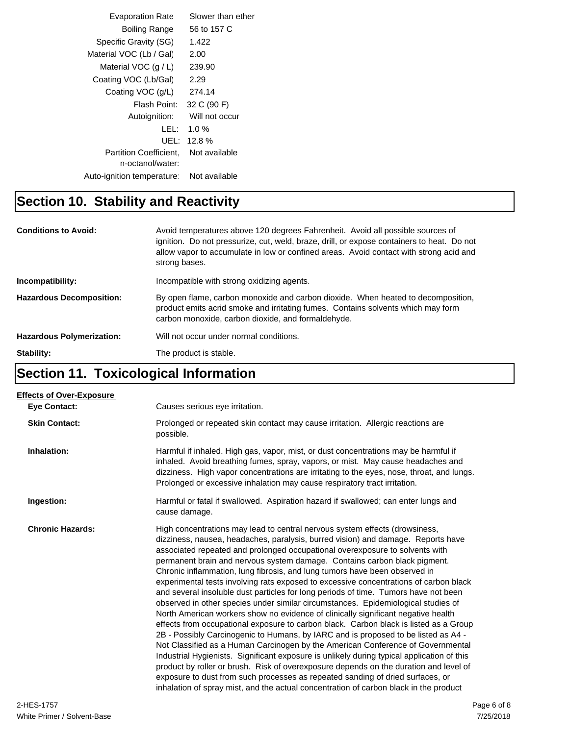| <b>Evaporation Rate</b>                           | Slower than ether |
|---------------------------------------------------|-------------------|
| Boiling Range                                     | 56 to 157 C       |
| Specific Gravity (SG)                             | 1.422             |
| Material VOC (Lb / Gal)                           | 2.00              |
| Material VOC $(q/L)$                              | 239.90            |
| Coating VOC (Lb/Gal)                              | 2.29              |
| Coating VOC (g/L)                                 | 274.14            |
| Flash Point:                                      | 32 C (90 F)       |
| Autoignition:                                     | Will not occur    |
| LEL:                                              | $1.0 \%$          |
| UEL:                                              | $12.8\%$          |
| <b>Partition Coefficient.</b><br>n-octanol/water: | Not available     |
| Auto-ignition temperature:                        | Not available     |
|                                                   |                   |

## **Section 10. Stability and Reactivity**

| <b>Conditions to Avoid:</b>      | Avoid temperatures above 120 degrees Fahrenheit. Avoid all possible sources of<br>ignition. Do not pressurize, cut, weld, braze, drill, or expose containers to heat. Do not<br>allow vapor to accumulate in low or confined areas. Avoid contact with strong acid and<br>strong bases. |
|----------------------------------|-----------------------------------------------------------------------------------------------------------------------------------------------------------------------------------------------------------------------------------------------------------------------------------------|
| Incompatibility:                 | Incompatible with strong oxidizing agents.                                                                                                                                                                                                                                              |
| <b>Hazardous Decomposition:</b>  | By open flame, carbon monoxide and carbon dioxide. When heated to decomposition,<br>product emits acrid smoke and irritating fumes. Contains solvents which may form<br>carbon monoxide, carbon dioxide, and formaldehyde.                                                              |
| <b>Hazardous Polymerization:</b> | Will not occur under normal conditions.                                                                                                                                                                                                                                                 |
| Stability:                       | The product is stable.                                                                                                                                                                                                                                                                  |

## **Section 11. Toxicological Information**

| <b>Effects of Over-Exposure</b> |                                                                                                                                                                                                                                                                                                                                                                                                                                                                                                                                                                                                                                                                                                                                                                                                                                                                                                                                                                                                                                                                                                                                                                                                                                                                                                                                                                                                          |
|---------------------------------|----------------------------------------------------------------------------------------------------------------------------------------------------------------------------------------------------------------------------------------------------------------------------------------------------------------------------------------------------------------------------------------------------------------------------------------------------------------------------------------------------------------------------------------------------------------------------------------------------------------------------------------------------------------------------------------------------------------------------------------------------------------------------------------------------------------------------------------------------------------------------------------------------------------------------------------------------------------------------------------------------------------------------------------------------------------------------------------------------------------------------------------------------------------------------------------------------------------------------------------------------------------------------------------------------------------------------------------------------------------------------------------------------------|
| <b>Eve Contact:</b>             | Causes serious eye irritation.                                                                                                                                                                                                                                                                                                                                                                                                                                                                                                                                                                                                                                                                                                                                                                                                                                                                                                                                                                                                                                                                                                                                                                                                                                                                                                                                                                           |
| <b>Skin Contact:</b>            | Prolonged or repeated skin contact may cause irritation. Allergic reactions are<br>possible.                                                                                                                                                                                                                                                                                                                                                                                                                                                                                                                                                                                                                                                                                                                                                                                                                                                                                                                                                                                                                                                                                                                                                                                                                                                                                                             |
| Inhalation:                     | Harmful if inhaled. High gas, vapor, mist, or dust concentrations may be harmful if<br>inhaled. Avoid breathing fumes, spray, vapors, or mist. May cause headaches and<br>dizziness. High vapor concentrations are irritating to the eyes, nose, throat, and lungs.<br>Prolonged or excessive inhalation may cause respiratory tract irritation.                                                                                                                                                                                                                                                                                                                                                                                                                                                                                                                                                                                                                                                                                                                                                                                                                                                                                                                                                                                                                                                         |
| Ingestion:                      | Harmful or fatal if swallowed. Aspiration hazard if swallowed; can enter lungs and<br>cause damage.                                                                                                                                                                                                                                                                                                                                                                                                                                                                                                                                                                                                                                                                                                                                                                                                                                                                                                                                                                                                                                                                                                                                                                                                                                                                                                      |
| <b>Chronic Hazards:</b>         | High concentrations may lead to central nervous system effects (drowsiness,<br>dizziness, nausea, headaches, paralysis, burred vision) and damage. Reports have<br>associated repeated and prolonged occupational overexposure to solvents with<br>permanent brain and nervous system damage. Contains carbon black pigment.<br>Chronic inflammation, lung fibrosis, and lung tumors have been observed in<br>experimental tests involving rats exposed to excessive concentrations of carbon black<br>and several insoluble dust particles for long periods of time. Tumors have not been<br>observed in other species under similar circumstances. Epidemiological studies of<br>North American workers show no evidence of clinically significant negative health<br>effects from occupational exposure to carbon black. Carbon black is listed as a Group<br>2B - Possibly Carcinogenic to Humans, by IARC and is proposed to be listed as A4 -<br>Not Classified as a Human Carcinogen by the American Conference of Governmental<br>Industrial Hygienists. Significant exposure is unlikely during typical application of this<br>product by roller or brush. Risk of overexposure depends on the duration and level of<br>exposure to dust from such processes as repeated sanding of dried surfaces, or<br>inhalation of spray mist, and the actual concentration of carbon black in the product |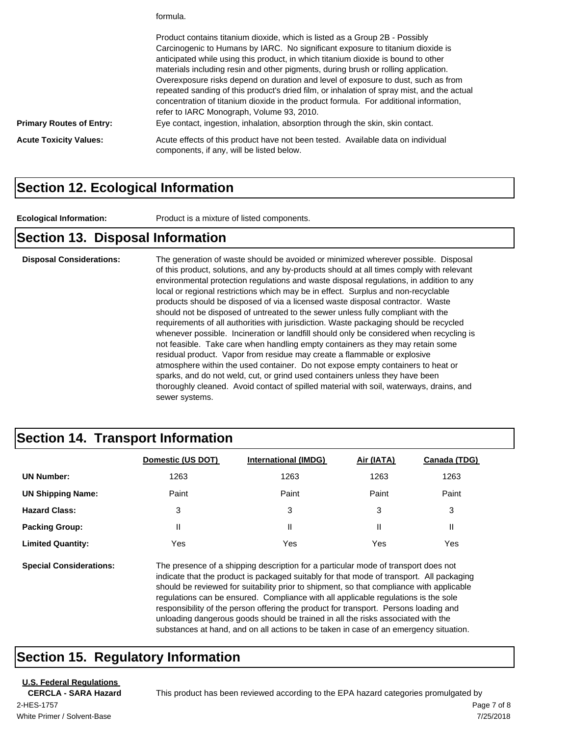formula.

| <b>Primary Routes of Entry:</b> | Product contains titanium dioxide, which is listed as a Group 2B - Possibly<br>Carcinogenic to Humans by IARC. No significant exposure to titanium dioxide is<br>anticipated while using this product, in which titanium dioxide is bound to other<br>materials including resin and other pigments, during brush or rolling application.<br>Overexposure risks depend on duration and level of exposure to dust, such as from<br>repeated sanding of this product's dried film, or inhalation of spray mist, and the actual<br>concentration of titanium dioxide in the product formula. For additional information,<br>refer to IARC Monograph, Volume 93, 2010.<br>Eye contact, ingestion, inhalation, absorption through the skin, skin contact. |
|---------------------------------|-----------------------------------------------------------------------------------------------------------------------------------------------------------------------------------------------------------------------------------------------------------------------------------------------------------------------------------------------------------------------------------------------------------------------------------------------------------------------------------------------------------------------------------------------------------------------------------------------------------------------------------------------------------------------------------------------------------------------------------------------------|
| <b>Acute Toxicity Values:</b>   | Acute effects of this product have not been tested. Available data on individual<br>components, if any, will be listed below.                                                                                                                                                                                                                                                                                                                                                                                                                                                                                                                                                                                                                       |

#### **Section 12. Ecological Information**

**Ecological Information:** Product is a mixture of listed components.

#### **Section 13. Disposal Information**

**Disposal Considerations:** The generation of waste should be avoided or minimized wherever possible. Disposal of this product, solutions, and any by-products should at all times comply with relevant environmental protection regulations and waste disposal regulations, in addition to any local or regional restrictions which may be in effect. Surplus and non-recyclable products should be disposed of via a licensed waste disposal contractor. Waste should not be disposed of untreated to the sewer unless fully compliant with the requirements of all authorities with jurisdiction. Waste packaging should be recycled whenever possible. Incineration or landfill should only be considered when recycling is not feasible. Take care when handling empty containers as they may retain some residual product. Vapor from residue may create a flammable or explosive atmosphere within the used container. Do not expose empty containers to heat or sparks, and do not weld, cut, or grind used containers unless they have been thoroughly cleaned. Avoid contact of spilled material with soil, waterways, drains, and sewer systems.

#### **Section 14. Transport Information**

|                                | Domestic (US DOT) | <b>International (IMDG)</b>                                                                                                                                                    | Air (IATA) | Canada (TDG) |
|--------------------------------|-------------------|--------------------------------------------------------------------------------------------------------------------------------------------------------------------------------|------------|--------------|
| <b>UN Number:</b>              | 1263              | 1263                                                                                                                                                                           | 1263       | 1263         |
| <b>UN Shipping Name:</b>       | Paint             | Paint                                                                                                                                                                          | Paint      | Paint        |
| <b>Hazard Class:</b>           | 3                 | 3                                                                                                                                                                              | 3          | 3            |
| <b>Packing Group:</b>          | Ш                 | Ш                                                                                                                                                                              | Ш          | Ш            |
| <b>Limited Quantity:</b>       | Yes               | Yes                                                                                                                                                                            | Yes        | Yes          |
| <b>Special Considerations:</b> |                   | The presence of a shipping description for a particular mode of transport does not<br>indicate that the product is packaged suitably for that mode of transport. All packaging |            |              |

should be reviewed for suitability prior to shipment, so that compliance with applicable regulations can be ensured. Compliance with all applicable regulations is the sole responsibility of the person offering the product for transport. Persons loading and unloading dangerous goods should be trained in all the risks associated with the substances at hand, and on all actions to be taken in case of an emergency situation.

#### **Section 15. Regulatory Information**

**U.S. Federal Regulations**

White Primer / Solvent-Base 2-HES-1757 Page 7 of 8

**CERCLA - SARA Hazard** This product has been reviewed according to the EPA hazard categories promulgated by